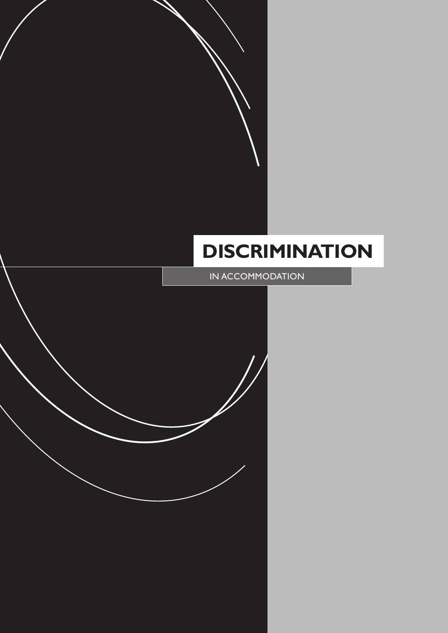# **DISCRIMINATION**

IN ACCOMMODATION

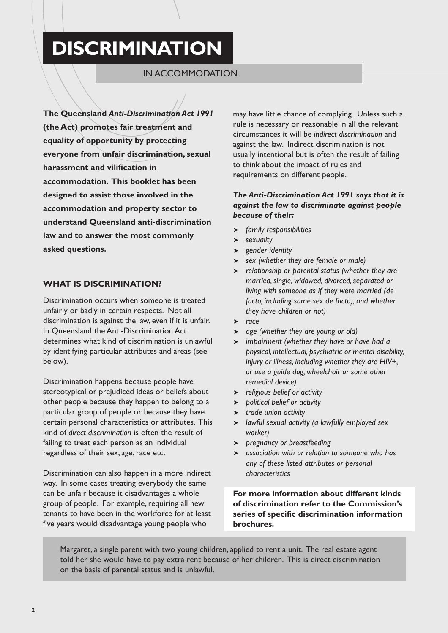# **DISCRIMINATION**

### IN ACCOMMODATION

**The Queensland** *Anti-Discrimination Act 1991* **(the Act) promotes fair treatment and equality of opportunity by protecting everyone from unfair discrimination, sexual harassment and vilification in accommodation. This booklet has been designed to assist those involved in the accommodation and property sector to understand Queensland anti-discrimination law and to answer the most commonly asked questions.**

#### **WHAT IS DISCRIMINATION?**

Discrimination occurs when someone is treated unfairly or badly in certain respects. Not all discrimination is against the law, even if it is unfair. In Queensland the Anti-Discrimination Act determines what kind of discrimination is unlawful by identifying particular attributes and areas (see below).

Discrimination happens because people have stereotypical or prejudiced ideas or beliefs about other people because they happen to belong to a particular group of people or because they have certain personal characteristics or attributes. This kind of *direct discrimination* is often the result of failing to treat each person as an individual regardless of their sex, age, race etc.

Discrimination can also happen in a more indirect way. In some cases treating everybody the same can be unfair because it disadvantages a whole group of people. For example, requiring all new tenants to have been in the workforce for at least five years would disadvantage young people who

may have little chance of complying. Unless such a rule is necessary or reasonable in all the relevant circumstances it will be *indirect discrimination* and against the law. Indirect discrimination is not usually intentional but is often the result of failing to think about the impact of rules and requirements on different people.

#### *The Anti-Discrimination Act 1991 says that it is against the law to discriminate against people because of their:*

- ➤ *family responsibilities*
- ➤ *sexuality*
- ➤ *gender identity*
- ➤ *sex (whether they are female or male)*
- ➤ *relationship or parental status (whether they are married, single, widowed, divorced, separated or living with someone as if they were married (de facto, including same sex de facto), and whether they have children or not)*
- ➤ *race*
- ➤ *age (whether they are young or old)*
- ➤ *impairment (whether they have or have had a physical, intellectual, psychiatric or mental disability, injury or illness, including whether they are HIV+, or use a guide dog, wheelchair or some other remedial device)*
- ➤ *religious belief or activity*
- ➤ *political belief or activity*
- ➤ *trade union activity*
- ➤ *lawful sexual activity (a lawfully employed sex worker)*
- ➤ *pregnancy or breastfeeding*
- ➤ *association with or relation to someone who has any of these listed attributes or personal characteristics*

**For more information about different kinds of discrimination refer to the Commission's series of specific discrimination information brochures.**

Margaret, a single parent with two young children, applied to rent a unit. The real estate agent told her she would have to pay extra rent because of her children. This is direct discrimination on the basis of parental status and is unlawful.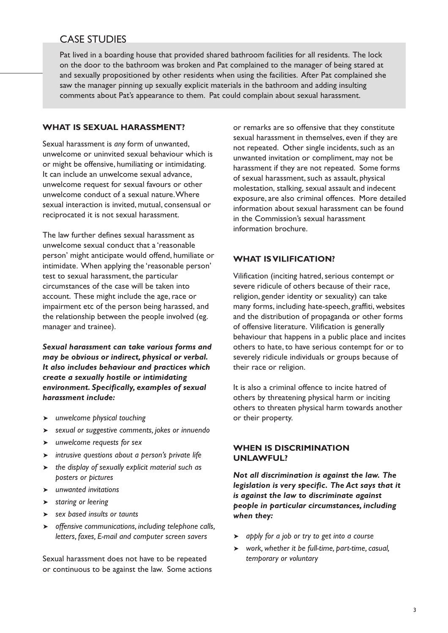## CASE STUDIES

Pat lived in a boarding house that provided shared bathroom facilities for all residents. The lock on the door to the bathroom was broken and Pat complained to the manager of being stared at and sexually propositioned by other residents when using the facilities. After Pat complained she saw the manager pinning up sexually explicit materials in the bathroom and adding insulting comments about Pat's appearance to them. Pat could complain about sexual harassment.

#### **WHAT IS SEXUAL HARASSMENT?**

Sexual harassment is *any* form of unwanted, unwelcome or uninvited sexual behaviour which is or might be offensive, humiliating or intimidating. It can include an unwelcome sexual advance, unwelcome request for sexual favours or other unwelcome conduct of a sexual nature. Where sexual interaction is invited, mutual, consensual or reciprocated it is not sexual harassment.

The law further defines sexual harassment as unwelcome sexual conduct that a 'reasonable person' might anticipate would offend, humiliate or intimidate. When applying the 'reasonable person' test to sexual harassment, the particular circumstances of the case will be taken into account. These might include the age, race or impairment etc of the person being harassed, and the relationship between the people involved (eg. manager and trainee).

*Sexual harassment can take various forms and may be obvious or indirect, physical or verbal. It also includes behaviour and practices which create a sexually hostile or intimidating environment. Specifically, examples of sexual harassment include:*

- ➤ *unwelcome physical touching*
- ➤ *sexual or suggestive comments, jokes or innuendo*
- ➤ *unwelcome requests for sex*
- ➤ *intrusive questions about a person's private life*
- ➤ *the display of sexually explicit material such as posters or pictures*
- ➤ *unwanted invitations*
- ➤ *staring or leering*
- ➤ *sex based insults or taunts*
- ➤ *offensive communications, including telephone calls, letters, faxes, E-mail and computer screen savers*

Sexual harassment does not have to be repeated or continuous to be against the law. Some actions or remarks are so offensive that they constitute sexual harassment in themselves, even if they are not repeated. Other single incidents, such as an unwanted invitation or compliment, may not be harassment if they are not repeated. Some forms of sexual harassment, such as assault, physical molestation, stalking, sexual assault and indecent exposure, are also criminal offences. More detailed information about sexual harassment can be found in the Commission's sexual harassment information brochure.

#### **WHAT IS VILIFICATION?**

Vilification (inciting hatred, serious contempt or severe ridicule of others because of their race, religion, gender identity or sexuality) can take many forms, including hate-speech, graffiti, websites and the distribution of propaganda or other forms of offensive literature. Vilification is generally behaviour that happens in a public place and incites others to hate, to have serious contempt for or to severely ridicule individuals or groups because of their race or religion.

It is also a criminal offence to incite hatred of others by threatening physical harm or inciting others to threaten physical harm towards another or their property.

#### **WHEN IS DISCRIMINATION UNLAWFUL?**

*Not all discrimination is against the law. The legislation is very specific. The Act says that it is against the law to discriminate against people in particular circumstances, including when they:*

- ➤ *apply for a job or try to get into a course*
- ➤ *work, whether it be full-time, part-time, casual, temporary or voluntary*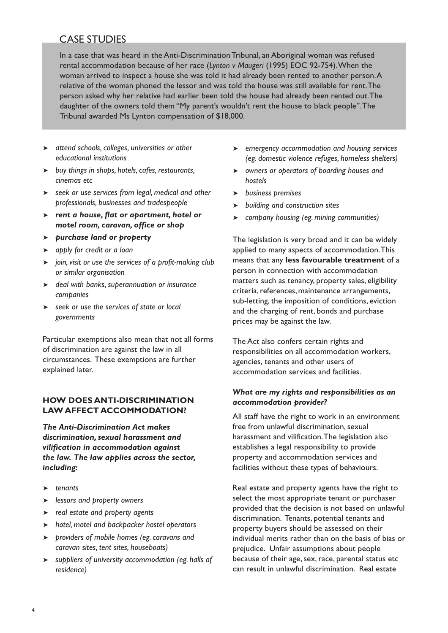# CASE STUDIES

In a case that was heard in the Anti-Discrimination Tribunal, an Aboriginal woman was refused rental accommodation because of her race (*Lynton v Maugeri* (1995) EOC 92-754). When the woman arrived to inspect a house she was told it had already been rented to another person. A relative of the woman phoned the lessor and was told the house was still available for rent. The person asked why her relative had earlier been told the house had already been rented out. The daughter of the owners told them "My parent's wouldn't rent the house to black people". The Tribunal awarded Ms Lynton compensation of \$18,000.

- ➤ *attend schools, colleges, universities or other educational institutions*
- ➤ *buy things in shops, hotels, cafes, restaurants, cinemas etc*
- ➤ *seek or use services from legal, medical and other professionals, businesses and tradespeople*
- ➤ *rent a house, flat or apartment, hotel or motel room, caravan, office or shop*
- ➤ *purchase land or property*
- ➤ *apply for credit or a loan*
- ➤ *join, visit or use the services of a profit-making club or similar organisation*
- ➤ *deal with banks, superannuation or insurance companies*
- ➤ *seek or use the services of state or local governments*

Particular exemptions also mean that not all forms of discrimination are against the law in all circumstances. These exemptions are further explained later.

#### **HOW DOES ANTI-DISCRIMINATION LAW AFFECT ACCOMMODATION?**

*The Anti-Discrimination Act makes discrimination, sexual harassment and vilification in accommodation against the law. The law applies across the sector, including:*

- ➤ *tenants*
- ➤ *lessors and property owners*
- ➤ *real estate and property agents*
- ➤ *hotel, motel and backpacker hostel operators*
- ➤ *providers of mobile homes (eg. caravans and caravan sites, tent sites, houseboats)*
- ➤ *suppliers of university accommodation (eg. halls of residence)*
- ➤ *emergency accommodation and housing services (eg. domestic violence refuges, homeless shelters)*
- ➤ *owners or operators of boarding houses and hostels*
- ➤ *business premises*
- ➤ *building and construction sites*
- ➤ *company housing (eg. mining communities)*

The legislation is very broad and it can be widely applied to many aspects of accommodation. This means that any **less favourable treatment** of a person in connection with accommodation matters such as tenancy, property sales, eligibility criteria, references, maintenance arrangements, sub-letting, the imposition of conditions, eviction and the charging of rent, bonds and purchase prices may be against the law.

The Act also confers certain rights and responsibilities on all accommodation workers, agencies, tenants and other users of accommodation services and facilities.

#### *What are my rights and responsibilities as an accommodation provider?*

All staff have the right to work in an environment free from unlawful discrimination, sexual harassment and vilification. The legislation also establishes a legal responsibility to provide property and accommodation services and facilities without these types of behaviours.

Real estate and property agents have the right to select the most appropriate tenant or purchaser provided that the decision is not based on unlawful discrimination. Tenants, potential tenants and property buyers should be assessed on their individual merits rather than on the basis of bias or prejudice. Unfair assumptions about people because of their age, sex, race, parental status etc can result in unlawful discrimination. Real estate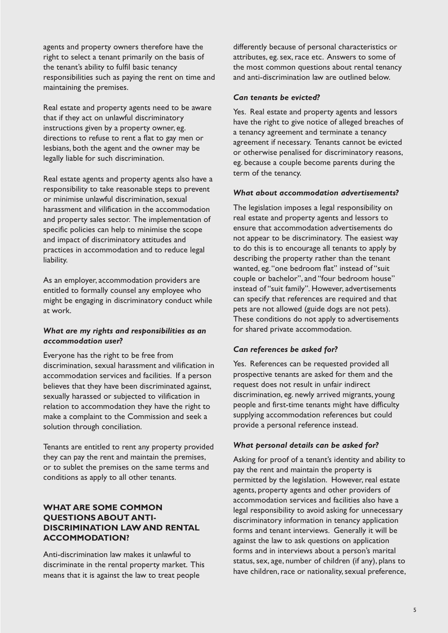agents and property owners therefore have the right to select a tenant primarily on the basis of the tenant's ability to fulfil basic tenancy responsibilities such as paying the rent on time and maintaining the premises.

Real estate and property agents need to be aware that if they act on unlawful discriminatory instructions given by a property owner, eg. directions to refuse to rent a flat to gay men or lesbians, both the agent and the owner may be legally liable for such discrimination.

Real estate agents and property agents also have a responsibility to take reasonable steps to prevent or minimise unlawful discrimination, sexual harassment and vilification in the accommodation and property sales sector. The implementation of specific policies can help to minimise the scope and impact of discriminatory attitudes and practices in accommodation and to reduce legal liability.

As an employer, accommodation providers are entitled to formally counsel any employee who might be engaging in discriminatory conduct while at work.

#### *What are my rights and responsibilities as an accommodation user?*

Everyone has the right to be free from discrimination, sexual harassment and vilification in accommodation services and facilities. If a person believes that they have been discriminated against, sexually harassed or subjected to vilification in relation to accommodation they have the right to make a complaint to the Commission and seek a solution through conciliation.

Tenants are entitled to rent any property provided they can pay the rent and maintain the premises, or to sublet the premises on the same terms and conditions as apply to all other tenants.

#### **WHAT ARE SOME COMMON QUESTIONS ABOUT ANTI-DISCRIMINATION LAW AND RENTAL ACCOMMODATION?**

Anti-discrimination law makes it unlawful to discriminate in the rental property market. This means that it is against the law to treat people

differently because of personal characteristics or attributes, eg. sex, race etc. Answers to some of the most common questions about rental tenancy and anti-discrimination law are outlined below.

#### *Can tenants be evicted?*

Yes. Real estate and property agents and lessors have the right to give notice of alleged breaches of a tenancy agreement and terminate a tenancy agreement if necessary. Tenants cannot be evicted or otherwise penalised for discriminatory reasons, eg. because a couple become parents during the term of the tenancy.

#### *What about accommodation advertisements?*

The legislation imposes a legal responsibility on real estate and property agents and lessors to ensure that accommodation advertisements do not appear to be discriminatory. The easiest way to do this is to encourage all tenants to apply by describing the property rather than the tenant wanted, eg. "one bedroom flat" instead of "suit couple or bachelor", and "four bedroom house" instead of "suit family". However, advertisements can specify that references are required and that pets are not allowed (guide dogs are not pets). These conditions do not apply to advertisements for shared private accommodation.

#### *Can references be asked for?*

Yes. References can be requested provided all prospective tenants are asked for them and the request does not result in unfair indirect discrimination, eg. newly arrived migrants, young people and first-time tenants might have difficulty supplying accommodation references but could provide a personal reference instead.

#### *What personal details can be asked for?*

Asking for proof of a tenant's identity and ability to pay the rent and maintain the property is permitted by the legislation. However, real estate agents, property agents and other providers of accommodation services and facilities also have a legal responsibility to avoid asking for unnecessary discriminatory information in tenancy application forms and tenant interviews. Generally it will be against the law to ask questions on application forms and in interviews about a person's marital status, sex, age, number of children (if any), plans to have children, race or nationality, sexual preference,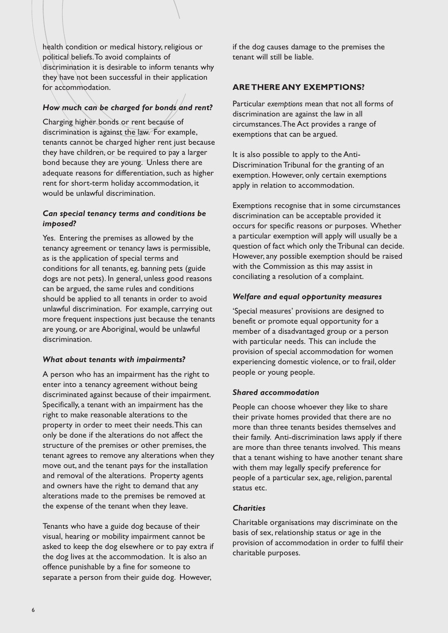health condition or medical history, religious or political beliefs. To avoid complaints of discrimination it is desirable to inform tenants why they have not been successful in their application for accommodation.

#### *How much can be charged for bonds and rent?*

Charging higher bonds or rent because of discrimination is against the law. For example, tenants cannot be charged higher rent just because they have children, or be required to pay a larger bond because they are young. Unless there are adequate reasons for differentiation, such as higher rent for short-term holiday accommodation, it would be unlawful discrimination.

#### *Can special tenancy terms and conditions be imposed?*

Yes. Entering the premises as allowed by the tenancy agreement or tenancy laws is permissible, as is the application of special terms and conditions for all tenants, eg. banning pets (guide dogs are not pets). In general, unless good reasons can be argued, the same rules and conditions should be applied to all tenants in order to avoid unlawful discrimination. For example, carrying out more frequent inspections just because the tenants are young, or are Aboriginal, would be unlawful discrimination.

#### *What about tenants with impairments?*

A person who has an impairment has the right to enter into a tenancy agreement without being discriminated against because of their impairment. Specifically, a tenant with an impairment has the right to make reasonable alterations to the property in order to meet their needs. This can only be done if the alterations do not affect the structure of the premises or other premises, the tenant agrees to remove any alterations when they move out, and the tenant pays for the installation and removal of the alterations. Property agents and owners have the right to demand that any alterations made to the premises be removed at the expense of the tenant when they leave.

Tenants who have a guide dog because of their visual, hearing or mobility impairment cannot be asked to keep the dog elsewhere or to pay extra if the dog lives at the accommodation. It is also an offence punishable by a fine for someone to separate a person from their guide dog. However,

if the dog causes damage to the premises the tenant will still be liable.

#### **ARE THERE ANY EXEMPTIONS?**

Particular *exemptions* mean that not all forms of discrimination are against the law in all circumstances. The Act provides a range of exemptions that can be argued.

It is also possible to apply to the Anti-Discrimination Tribunal for the granting of an exemption. However, only certain exemptions apply in relation to accommodation.

Exemptions recognise that in some circumstances discrimination can be acceptable provided it occurs for specific reasons or purposes. Whether a particular exemption will apply will usually be a question of fact which only the Tribunal can decide. However, any possible exemption should be raised with the Commission as this may assist in conciliating a resolution of a complaint.

#### *Welfare and equal opportunity measures*

'Special measures' provisions are designed to benefit or promote equal opportunity for a member of a disadvantaged group or a person with particular needs. This can include the provision of special accommodation for women experiencing domestic violence, or to frail, older people or young people.

#### *Shared accommodation*

People can choose whoever they like to share their private homes provided that there are no more than three tenants besides themselves and their family. Anti-discrimination laws apply if there are more than three tenants involved. This means that a tenant wishing to have another tenant share with them may legally specify preference for people of a particular sex, age, religion, parental status etc.

#### *Charities*

Charitable organisations may discriminate on the basis of sex, relationship status or age in the provision of accommodation in order to fulfil their charitable purposes.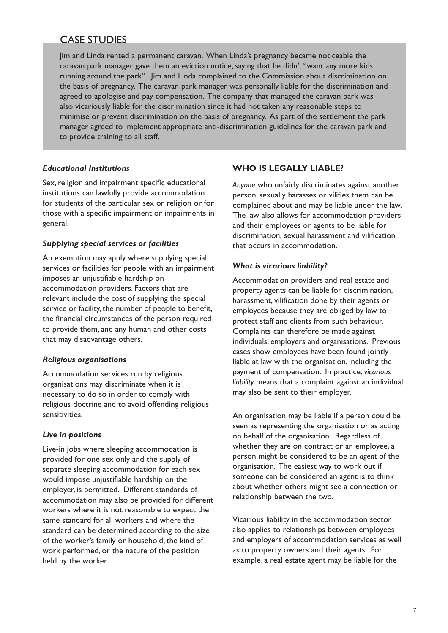# CASE STUDIES

Jim and Linda rented a permanent caravan. When Linda's pregnancy became noticeable the caravan park manager gave them an eviction notice, saying that he didn't "want any more kids running around the park". Jim and Linda complained to the Commission about discrimination on the basis of pregnancy. The caravan park manager was personally liable for the discrimination and agreed to apologise and pay compensation. The company that managed the caravan park was also vicariously liable for the discrimination since it had not taken any reasonable steps to minimise or prevent discrimination on the basis of pregnancy. As part of the settlement the park manager agreed to implement appropriate anti-discrimination guidelines for the caravan park and to provide training to all staff.

#### *Educational Institutions*

Sex, religion and impairment specific educational institutions can lawfully provide accommodation for students of the particular sex or religion or for those with a specific impairment or impairments in general.

#### *Supplying special services or facilities*

An exemption may apply where supplying special services or facilities for people with an impairment imposes an unjustifiable hardship on accommodation providers. Factors that are relevant include the cost of supplying the special service or facility, the number of people to benefit, the financial circumstances of the person required to provide them, and any human and other costs that may disadvantage others.

#### *Religious organisations*

Accommodation services run by religious organisations may discriminate when it is necessary to do so in order to comply with religious doctrine and to avoid offending religious sensitivities.

#### *Live in positions*

Live-in jobs where sleeping accommodation is provided for one sex only and the supply of separate sleeping accommodation for each sex would impose unjustifiable hardship on the employer, is permitted. Different standards of accommodation may also be provided for different workers where it is not reasonable to expect the same standard for all workers and where the standard can be determined according to the size of the worker's family or household, the kind of work performed, or the nature of the position held by the worker.

#### **WHO IS LEGALLY LIABLE?**

*Anyone* who unfairly discriminates against another person, sexually harasses or vilifies them can be complained about and may be liable under the law. The law also allows for accommodation providers and their employees or agents to be liable for discrimination, sexual harassment and vilification that occurs in accommodation.

#### *What is vicarious liability?*

Accommodation providers and real estate and property agents can be liable for discrimination, harassment, vilification done by their agents or employees because they are obliged by law to protect staff and clients from such behaviour. Complaints can therefore be made against individuals, employers and organisations. Previous cases show employees have been found jointly liable at law with the organisation, including the payment of compensation. In practice, *vicarious liability* means that a complaint against an individual may also be sent to their employer.

An organisation may be liable if a person could be seen as representing the organisation or as acting on behalf of the organisation. Regardless of whether they are on contract or an employee, a person might be considered to be an *agent* of the organisation. The easiest way to work out if someone can be considered an agent is to think about whether others might see a connection or relationship between the two.

Vicarious liability in the accommodation sector also applies to relationships between employees and employers of accommodation services as well as to property owners and their agents. For example, a real estate agent may be liable for the